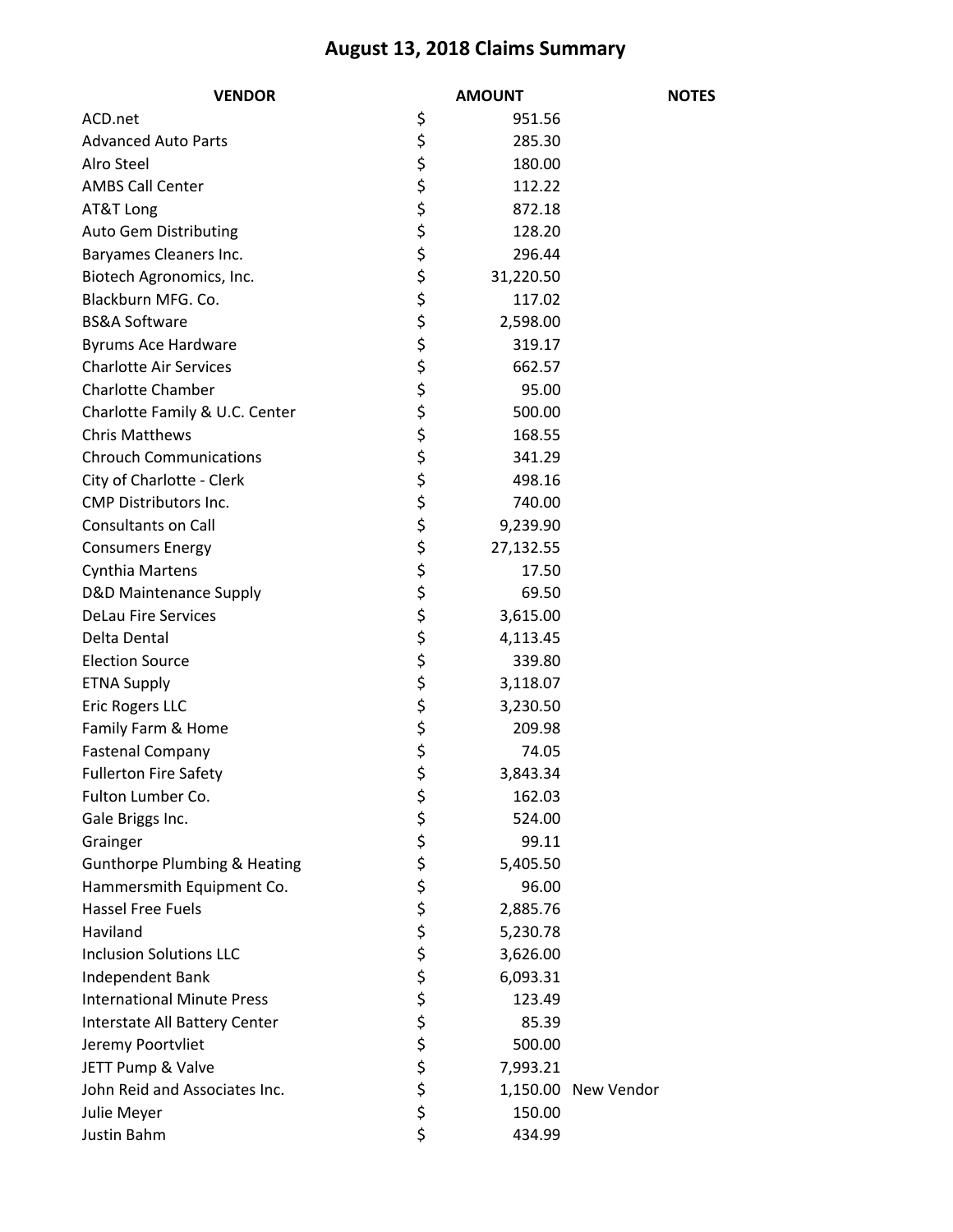## **August 13, 2018 Claims Summary**

| <b>VENDOR</b>                           |                                  | <b>AMOUNT</b> | <b>NOTES</b>        |
|-----------------------------------------|----------------------------------|---------------|---------------------|
| ACD.net                                 | \$                               | 951.56        |                     |
| <b>Advanced Auto Parts</b>              |                                  | 285.30        |                     |
| Alro Steel                              |                                  | 180.00        |                     |
| <b>AMBS Call Center</b>                 |                                  | 112.22        |                     |
| AT&T Long                               |                                  | 872.18        |                     |
| <b>Auto Gem Distributing</b>            |                                  | 128.20        |                     |
| Baryames Cleaners Inc.                  |                                  | 296.44        |                     |
| Biotech Agronomics, Inc.                |                                  | 31,220.50     |                     |
| Blackburn MFG. Co.                      |                                  | 117.02        |                     |
| <b>BS&amp;A Software</b>                |                                  | 2,598.00      |                     |
| Byrums Ace Hardware                     |                                  | 319.17        |                     |
| <b>Charlotte Air Services</b>           |                                  | 662.57        |                     |
| <b>Charlotte Chamber</b>                |                                  | 95.00         |                     |
| Charlotte Family & U.C. Center          |                                  | 500.00        |                     |
| <b>Chris Matthews</b>                   |                                  | 168.55        |                     |
| <b>Chrouch Communications</b>           |                                  | 341.29        |                     |
| City of Charlotte - Clerk               |                                  | 498.16        |                     |
| <b>CMP Distributors Inc.</b>            |                                  | 740.00        |                     |
| <b>Consultants on Call</b>              |                                  | 9,239.90      |                     |
| <b>Consumers Energy</b>                 |                                  | 27,132.55     |                     |
| <b>Cynthia Martens</b>                  |                                  | 17.50         |                     |
| <b>D&amp;D Maintenance Supply</b>       |                                  | 69.50         |                     |
| <b>DeLau Fire Services</b>              | や やややや やややや やややや ややや やややや やややややや | 3,615.00      |                     |
| Delta Dental                            |                                  | 4,113.45      |                     |
| <b>Election Source</b>                  |                                  | 339.80        |                     |
| <b>ETNA Supply</b>                      |                                  | 3,118.07      |                     |
| Eric Rogers LLC                         |                                  | 3,230.50      |                     |
| Family Farm & Home                      |                                  | 209.98        |                     |
| <b>Fastenal Company</b>                 |                                  | 74.05         |                     |
| <b>Fullerton Fire Safety</b>            | \$                               | 3,843.34      |                     |
| Fulton Lumber Co.                       |                                  | 162.03        |                     |
| Gale Briggs Inc.                        |                                  | 524.00        |                     |
| Grainger                                |                                  | 99.11         |                     |
| <b>Gunthorpe Plumbing &amp; Heating</b> |                                  | 5,405.50      |                     |
| Hammersmith Equipment Co.               |                                  | 96.00         |                     |
| <b>Hassel Free Fuels</b>                |                                  | 2,885.76      |                     |
| Haviland                                |                                  | 5,230.78      |                     |
| <b>Inclusion Solutions LLC</b>          |                                  | 3,626.00      |                     |
| Independent Bank                        |                                  | 6,093.31      |                     |
| <b>International Minute Press</b>       |                                  | 123.49        |                     |
| Interstate All Battery Center           |                                  | 85.39         |                     |
| Jeremy Poortvliet                       |                                  | 500.00        |                     |
| JETT Pump & Valve                       |                                  | 7,993.21      |                     |
| John Reid and Associates Inc.           | ぐうそう こうさいかい                      |               | 1,150.00 New Vendor |
| Julie Meyer                             |                                  | 150.00        |                     |
| Justin Bahm                             | \$                               | 434.99        |                     |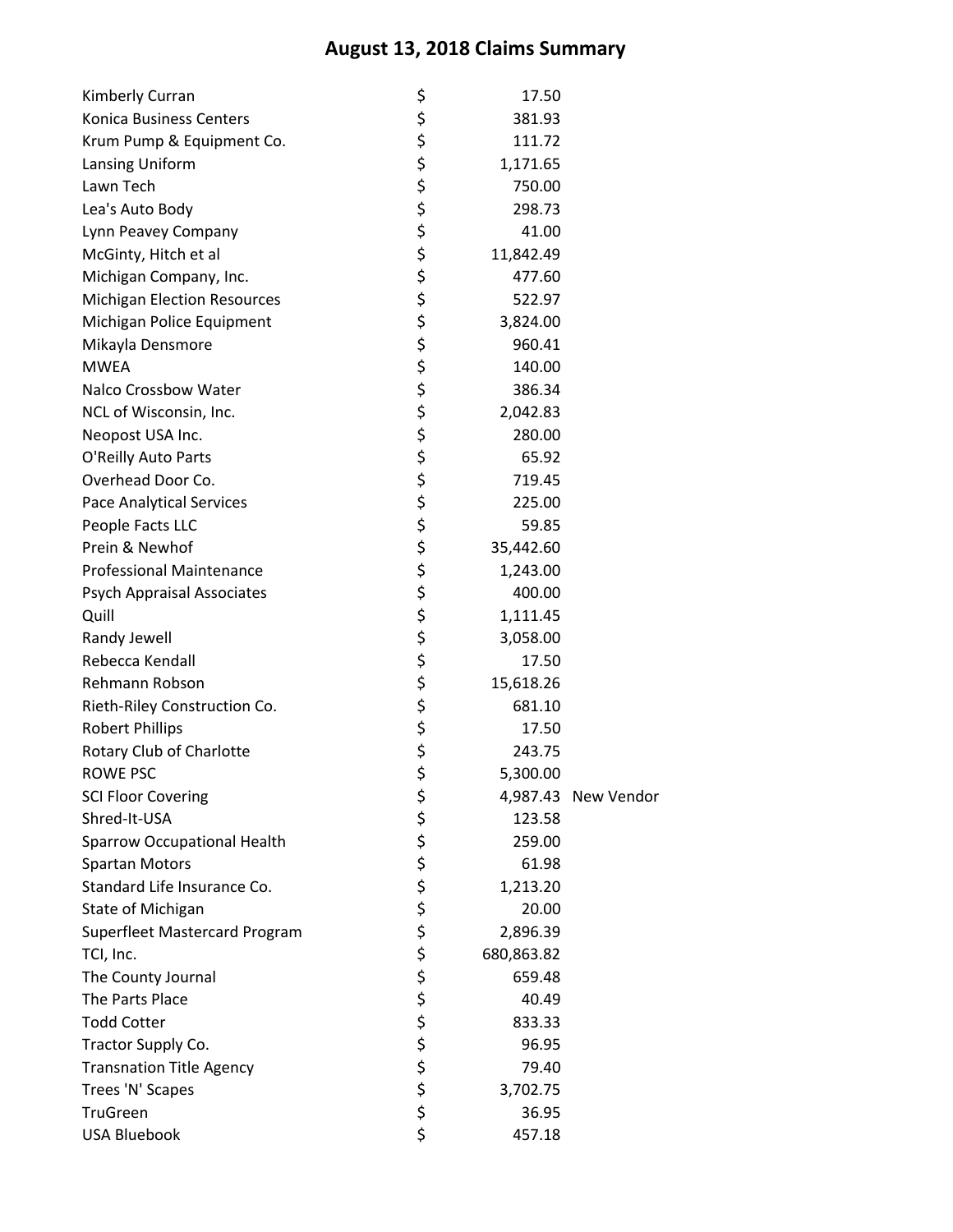## **August 13, 2018 Claims Summary**

| Kimberly Curran                    | \$       | 17.50      |                     |
|------------------------------------|----------|------------|---------------------|
| Konica Business Centers            | \$       | 381.93     |                     |
| Krum Pump & Equipment Co.          | \$       | 111.72     |                     |
| Lansing Uniform                    |          | 1,171.65   |                     |
| Lawn Tech                          | \$<br>\$ | 750.00     |                     |
| Lea's Auto Body                    |          | 298.73     |                     |
| Lynn Peavey Company                | \$\$\$   | 41.00      |                     |
| McGinty, Hitch et al               |          | 11,842.49  |                     |
| Michigan Company, Inc.             | \$       | 477.60     |                     |
| <b>Michigan Election Resources</b> |          | 522.97     |                     |
| Michigan Police Equipment          | \$\$\$\$ | 3,824.00   |                     |
| Mikayla Densmore                   |          | 960.41     |                     |
| <b>MWEA</b>                        |          | 140.00     |                     |
| Nalco Crossbow Water               |          | 386.34     |                     |
| NCL of Wisconsin, Inc.             |          | 2,042.83   |                     |
| Neopost USA Inc.                   |          | 280.00     |                     |
| O'Reilly Auto Parts                |          | 65.92      |                     |
| Overhead Door Co.                  |          | 719.45     |                     |
| Pace Analytical Services           |          | 225.00     |                     |
| People Facts LLC                   | ぐぐぐぐ     | 59.85      |                     |
| Prein & Newhof                     | \$       | 35,442.60  |                     |
| <b>Professional Maintenance</b>    |          | 1,243.00   |                     |
| <b>Psych Appraisal Associates</b>  |          | 400.00     |                     |
| Quill                              |          | 1,111.45   |                     |
| Randy Jewell                       | やなみな     | 3,058.00   |                     |
| Rebecca Kendall                    |          | 17.50      |                     |
| Rehmann Robson                     |          | 15,618.26  |                     |
| Rieth-Riley Construction Co.       |          | 681.10     |                     |
| <b>Robert Phillips</b>             | \$\$\$   | 17.50      |                     |
| Rotary Club of Charlotte           |          | 243.75     |                     |
| ROWE PSC                           | \$       | 5,300.00   |                     |
| <b>SCI Floor Covering</b>          | \$       |            | 4,987.43 New Vendor |
| Shred-It-USA                       | \$       | 123.58     |                     |
| <b>Sparrow Occupational Health</b> | \$       | 259.00     |                     |
| <b>Spartan Motors</b>              |          | 61.98      |                     |
| Standard Life Insurance Co.        |          | 1,213.20   |                     |
| State of Michigan                  |          | 20.00      |                     |
| Superfleet Mastercard Program      | ちゃかな     | 2,896.39   |                     |
| TCI, Inc.                          |          | 680,863.82 |                     |
| The County Journal                 |          | 659.48     |                     |
| The Parts Place                    | ちゃかな     | 40.49      |                     |
| <b>Todd Cotter</b>                 |          | 833.33     |                     |
| Tractor Supply Co.                 |          | 96.95      |                     |
| <b>Transnation Title Agency</b>    |          | 79.40      |                     |
| Trees 'N' Scapes                   |          | 3,702.75   |                     |
| <b>TruGreen</b>                    | \$<br>\$ | 36.95      |                     |
| <b>USA Bluebook</b>                | \$       | 457.18     |                     |
|                                    |          |            |                     |